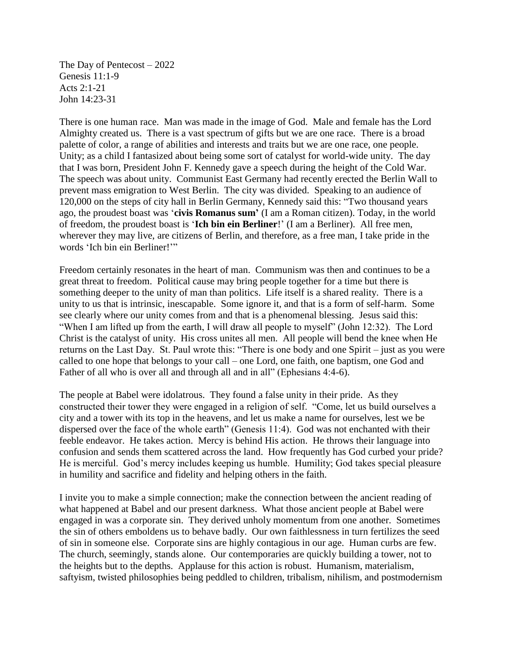The Day of Pentecost – 2022 Genesis 11:1-9 Acts 2:1-21 John 14:23-31

There is one human race. Man was made in the image of God. Male and female has the Lord Almighty created us. There is a vast spectrum of gifts but we are one race. There is a broad palette of color, a range of abilities and interests and traits but we are one race, one people. Unity; as a child I fantasized about being some sort of catalyst for world-wide unity. The day that I was born, President John F. Kennedy gave a speech during the height of the Cold War. The speech was about unity. Communist East Germany had recently erected the Berlin Wall to prevent mass emigration to West Berlin. The city was divided. Speaking to an audience of 120,000 on the steps of city hall in Berlin Germany, Kennedy said this: "Two thousand years ago, the proudest boast was '**[civis Romanus](https://en.wikipedia.org/wiki/Civis_romanus_sum) sum'** (I am a Roman citizen). Today, in the world of freedom, the proudest boast is '**Ich bin ein Berliner**!' (I am a Berliner). All free men, wherever they may live, are citizens of Berlin, and therefore, as a free man, I take pride in the words 'Ich bin ein Berliner!'"

Freedom certainly resonates in the heart of man. Communism was then and continues to be a great threat to freedom. Political cause may bring people together for a time but there is something deeper to the unity of man than politics. Life itself is a shared reality. There is a unity to us that is intrinsic, inescapable. Some ignore it, and that is a form of self-harm. Some see clearly where our unity comes from and that is a phenomenal blessing. Jesus said this: "When I am lifted up from the earth, I will draw all people to myself" (John 12:32). The Lord Christ is the catalyst of unity. His cross unites all men. All people will bend the knee when He returns on the Last Day. St. Paul wrote this: "There is one body and one Spirit – just as you were called to one hope that belongs to your call – one Lord, one faith, one baptism, one God and Father of all who is over all and through all and in all" (Ephesians 4:4-6).

The people at Babel were idolatrous. They found a false unity in their pride. As they constructed their tower they were engaged in a religion of self. "Come, let us build ourselves a city and a tower with its top in the heavens, and let us make a name for ourselves, lest we be dispersed over the face of the whole earth" (Genesis 11:4). God was not enchanted with their feeble endeavor. He takes action. Mercy is behind His action. He throws their language into confusion and sends them scattered across the land. How frequently has God curbed your pride? He is merciful. God's mercy includes keeping us humble. Humility; God takes special pleasure in humility and sacrifice and fidelity and helping others in the faith.

I invite you to make a simple connection; make the connection between the ancient reading of what happened at Babel and our present darkness. What those ancient people at Babel were engaged in was a corporate sin. They derived unholy momentum from one another. Sometimes the sin of others emboldens us to behave badly. Our own faithlessness in turn fertilizes the seed of sin in someone else. Corporate sins are highly contagious in our age. Human curbs are few. The church, seemingly, stands alone. Our contemporaries are quickly building a tower, not to the heights but to the depths. Applause for this action is robust. Humanism, materialism, saftyism, twisted philosophies being peddled to children, tribalism, nihilism, and postmodernism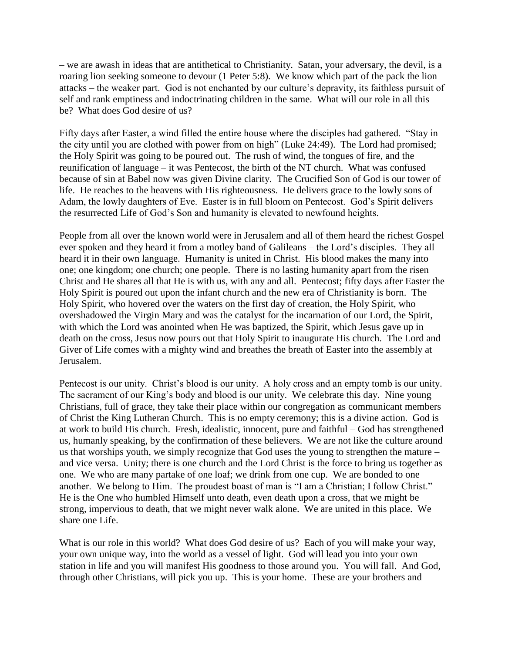– we are awash in ideas that are antithetical to Christianity. Satan, your adversary, the devil, is a roaring lion seeking someone to devour (1 Peter 5:8). We know which part of the pack the lion attacks – the weaker part. God is not enchanted by our culture's depravity, its faithless pursuit of self and rank emptiness and indoctrinating children in the same. What will our role in all this be? What does God desire of us?

Fifty days after Easter, a wind filled the entire house where the disciples had gathered. "Stay in the city until you are clothed with power from on high" (Luke 24:49). The Lord had promised; the Holy Spirit was going to be poured out. The rush of wind, the tongues of fire, and the reunification of language – it was Pentecost, the birth of the NT church. What was confused because of sin at Babel now was given Divine clarity. The Crucified Son of God is our tower of life. He reaches to the heavens with His righteousness. He delivers grace to the lowly sons of Adam, the lowly daughters of Eve. Easter is in full bloom on Pentecost. God's Spirit delivers the resurrected Life of God's Son and humanity is elevated to newfound heights.

People from all over the known world were in Jerusalem and all of them heard the richest Gospel ever spoken and they heard it from a motley band of Galileans – the Lord's disciples. They all heard it in their own language. Humanity is united in Christ. His blood makes the many into one; one kingdom; one church; one people. There is no lasting humanity apart from the risen Christ and He shares all that He is with us, with any and all. Pentecost; fifty days after Easter the Holy Spirit is poured out upon the infant church and the new era of Christianity is born. The Holy Spirit, who hovered over the waters on the first day of creation, the Holy Spirit, who overshadowed the Virgin Mary and was the catalyst for the incarnation of our Lord, the Spirit, with which the Lord was anointed when He was baptized, the Spirit, which Jesus gave up in death on the cross, Jesus now pours out that Holy Spirit to inaugurate His church. The Lord and Giver of Life comes with a mighty wind and breathes the breath of Easter into the assembly at Jerusalem.

Pentecost is our unity. Christ's blood is our unity. A holy cross and an empty tomb is our unity. The sacrament of our King's body and blood is our unity. We celebrate this day. Nine young Christians, full of grace, they take their place within our congregation as communicant members of Christ the King Lutheran Church. This is no empty ceremony; this is a divine action. God is at work to build His church. Fresh, idealistic, innocent, pure and faithful – God has strengthened us, humanly speaking, by the confirmation of these believers. We are not like the culture around us that worships youth, we simply recognize that God uses the young to strengthen the mature – and vice versa. Unity; there is one church and the Lord Christ is the force to bring us together as one. We who are many partake of one loaf; we drink from one cup. We are bonded to one another. We belong to Him. The proudest boast of man is "I am a Christian; I follow Christ." He is the One who humbled Himself unto death, even death upon a cross, that we might be strong, impervious to death, that we might never walk alone. We are united in this place. We share one Life.

What is our role in this world? What does God desire of us? Each of you will make your way, your own unique way, into the world as a vessel of light. God will lead you into your own station in life and you will manifest His goodness to those around you. You will fall. And God, through other Christians, will pick you up. This is your home. These are your brothers and